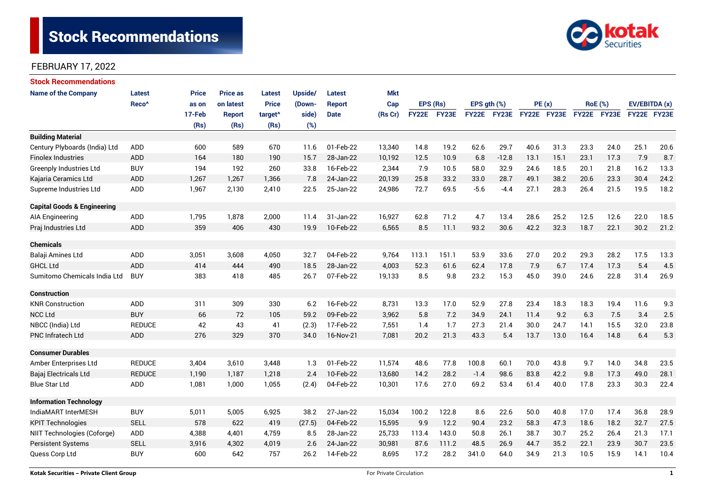

| <b>Stock Recommendations</b>           |                   |        |                 |                     |         |               |            |              |       |             |             |             |      |                |      |               |      |
|----------------------------------------|-------------------|--------|-----------------|---------------------|---------|---------------|------------|--------------|-------|-------------|-------------|-------------|------|----------------|------|---------------|------|
| <b>Name of the Company</b>             | <b>Latest</b>     | Price  | <b>Price as</b> | <b>Latest</b>       | Upside/ | Latest        | <b>Mkt</b> |              |       |             |             |             |      |                |      |               |      |
|                                        | Reco <sup>^</sup> | as on  | on latest       | <b>Price</b>        | (Down-  | <b>Report</b> | Cap        | EPS (Rs)     |       | EPS gth (%) |             | PE(x)       |      | <b>RoE</b> (%) |      | EV/EBITDA (x) |      |
|                                        |                   | 17-Feb | <b>Report</b>   | target <sup>^</sup> | side)   | <b>Date</b>   | (Rs Cr)    | <b>FY22E</b> | FY23E |             | FY22E FY23E | FY22E FY23E |      | FY22E FY23E    |      | FY22E FY23E   |      |
|                                        |                   | (Rs)   | (Rs)            | (Rs)                | (%)     |               |            |              |       |             |             |             |      |                |      |               |      |
| <b>Building Material</b>               |                   |        |                 |                     |         |               |            |              |       |             |             |             |      |                |      |               |      |
| Century Plyboards (India) Ltd          | ADD               | 600    | 589             | 670                 | 11.6    | 01-Feb-22     | 13,340     | 14.8         | 19.2  | 62.6        | 29.7        | 40.6        | 31.3 | 23.3           | 24.0 | 25.1          | 20.6 |
| <b>Finolex Industries</b>              | ADD               | 164    | 180             | 190                 | 15.7    | 28-Jan-22     | 10,192     | 12.5         | 10.9  | 6.8         | $-12.8$     | 13.1        | 15.1 | 23.1           | 17.3 | 7.9           | 8.7  |
| <b>Greenply Industries Ltd</b>         | <b>BUY</b>        | 194    | 192             | 260                 | 33.8    | 16-Feb-22     | 2.344      | 7.9          | 10.5  | 58.0        | 32.9        | 24.6        | 18.5 | 20.1           | 21.8 | 16.2          | 13.3 |
| Kajaria Ceramics Ltd                   | <b>ADD</b>        | 1,267  | 1,267           | 1,366               | 7.8     | 24-Jan-22     | 20,139     | 25.8         | 33.2  | 33.0        | 28.7        | 49.1        | 38.2 | 20.6           | 23.3 | 30.4          | 24.2 |
| Supreme Industries Ltd                 | <b>ADD</b>        | 1,967  | 2,130           | 2,410               | 22.5    | 25-Jan-22     | 24,986     | 72.7         | 69.5  | $-5.6$      | $-4.4$      | 27.1        | 28.3 | 26.4           | 21.5 | 19.5          | 18.2 |
| <b>Capital Goods &amp; Engineering</b> |                   |        |                 |                     |         |               |            |              |       |             |             |             |      |                |      |               |      |
| <b>AIA Engineering</b>                 | <b>ADD</b>        | 1,795  | 1,878           | 2,000               | 11.4    | 31-Jan-22     | 16,927     | 62.8         | 71.2  | 4.7         | 13.4        | 28.6        | 25.2 | 12.5           | 12.6 | 22.0          | 18.5 |
| Praj Industries Ltd                    | <b>ADD</b>        | 359    | 406             | 430                 | 19.9    | 10-Feb-22     | 6,565      | 8.5          | 11.1  | 93.2        | 30.6        | 42.2        | 32.3 | 18.7           | 22.1 | 30.2          | 21.2 |
| <b>Chemicals</b>                       |                   |        |                 |                     |         |               |            |              |       |             |             |             |      |                |      |               |      |
| Balaji Amines Ltd                      | ADD               | 3,051  | 3,608           | 4,050               | 32.7    | 04-Feb-22     | 9,764      | 113.1        | 151.1 | 53.9        | 33.6        | 27.0        | 20.2 | 29.3           | 28.2 | 17.5          | 13.3 |
| <b>GHCL Ltd</b>                        | <b>ADD</b>        | 414    | 444             | 490                 | 18.5    | 28-Jan-22     | 4,003      | 52.3         | 61.6  | 62.4        | 17.8        | 7.9         | 6.7  | 17.4           | 17.3 | 5.4           | 4.5  |
| Sumitomo Chemicals India Ltd           | <b>BUY</b>        | 383    | 418             | 485                 | 26.7    | 07-Feb-22     | 19,133     | 8.5          | 9.8   | 23.2        | 15.3        | 45.0        | 39.0 | 24.6           | 22.8 | 31.4          | 26.9 |
| <b>Construction</b>                    |                   |        |                 |                     |         |               |            |              |       |             |             |             |      |                |      |               |      |
| <b>KNR Construction</b>                | ADD               | 311    | 309             | 330                 | 6.2     | 16-Feb-22     | 8,731      | 13.3         | 17.0  | 52.9        | 27.8        | 23.4        | 18.3 | 18.3           | 19.4 | 11.6          | 9.3  |
| <b>NCC Ltd</b>                         | <b>BUY</b>        | 66     | 72              | 105                 | 59.2    | 09-Feb-22     | 3,962      | 5.8          | 7.2   | 34.9        | 24.1        | 11.4        | 9.2  | 6.3            | 7.5  | 3.4           | 2.5  |
| NBCC (India) Ltd                       | <b>REDUCE</b>     | 42     | 43              | 41                  | (2.3)   | 17-Feb-22     | 7,551      | 1.4          | 1.7   | 27.3        | 21.4        | 30.0        | 24.7 | 14.1           | 15.5 | 32.0          | 23.8 |
| <b>PNC Infratech Ltd</b>               | <b>ADD</b>        | 276    | 329             | 370                 | 34.0    | 16-Nov-21     | 7,081      | 20.2         | 21.3  | 43.3        | 5.4         | 13.7        | 13.0 | 16.4           | 14.8 | 6.4           | 5.3  |
| <b>Consumer Durables</b>               |                   |        |                 |                     |         |               |            |              |       |             |             |             |      |                |      |               |      |
| Amber Enterprises Ltd                  | <b>REDUCE</b>     | 3,404  | 3,610           | 3,448               | 1.3     | 01-Feb-22     | 11,574     | 48.6         | 77.8  | 100.8       | 60.1        | 70.0        | 43.8 | 9.7            | 14.0 | 34.8          | 23.5 |
| Bajaj Electricals Ltd                  | <b>REDUCE</b>     | 1,190  | 1,187           | 1,218               | 2.4     | 10-Feb-22     | 13,680     | 14.2         | 28.2  | $-1.4$      | 98.6        | 83.8        | 42.2 | 9.8            | 17.3 | 49.0          | 28.1 |
| <b>Blue Star Ltd</b>                   | ADD               | 1,081  | 1,000           | 1,055               | (2.4)   | 04-Feb-22     | 10,301     | 17.6         | 27.0  | 69.2        | 53.4        | 61.4        | 40.0 | 17.8           | 23.3 | 30.3          | 22.4 |
| <b>Information Technology</b>          |                   |        |                 |                     |         |               |            |              |       |             |             |             |      |                |      |               |      |
| IndiaMART InterMESH                    | <b>BUY</b>        | 5,011  | 5,005           | 6,925               | 38.2    | 27-Jan-22     | 15,034     | 100.2        | 122.8 | 8.6         | 22.6        | 50.0        | 40.8 | 17.0           | 17.4 | 36.8          | 28.9 |
| <b>KPIT Technologies</b>               | <b>SELL</b>       | 578    | 622             | 419                 | (27.5)  | 04-Feb-22     | 15,595     | 9.9          | 12.2  | 90.4        | 23.2        | 58.3        | 47.3 | 18.6           | 18.2 | 32.7          | 27.5 |
| NIIT Technologies (Coforge)            | ADD               | 4,388  | 4,401           | 4,759               | 8.5     | 28-Jan-22     | 25,733     | 113.4        | 143.0 | 50.8        | 26.1        | 38.7        | 30.7 | 25.2           | 26.4 | 21.3          | 17.1 |
| <b>Persistent Systems</b>              | <b>SELL</b>       | 3,916  | 4,302           | 4,019               | 2.6     | 24-Jan-22     | 30,981     | 87.6         | 111.2 | 48.5        | 26.9        | 44.7        | 35.2 | 22.1           | 23.9 | 30.7          | 23.5 |
| Quess Corp Ltd                         | <b>BUY</b>        | 600    | 642             | 757                 | 26.2    | 14-Feb-22     | 8,695      | 17.2         | 28.2  | 341.0       | 64.0        | 34.9        | 21.3 | 10.5           | 15.9 | 14.1          | 10.4 |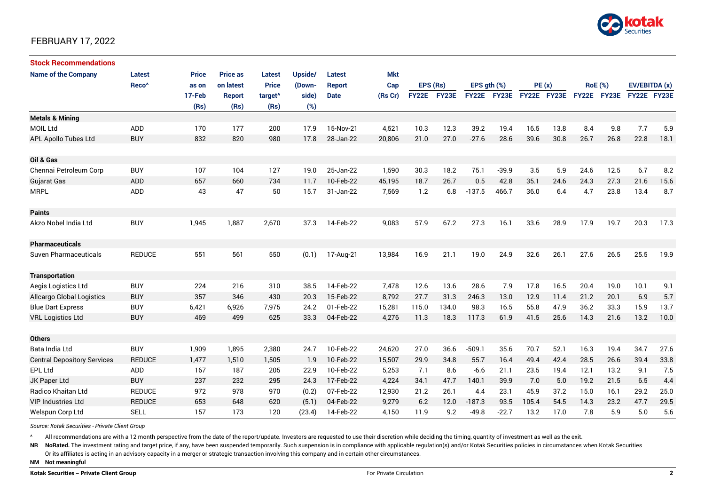

| <b>Stock Recommendations</b>       |                   |              |                 |                     |         |               |            |             |       |               |             |             |      |                |      |               |      |
|------------------------------------|-------------------|--------------|-----------------|---------------------|---------|---------------|------------|-------------|-------|---------------|-------------|-------------|------|----------------|------|---------------|------|
| <b>Name of the Company</b>         | <b>Latest</b>     | <b>Price</b> | <b>Price as</b> | <b>Latest</b>       | Upside/ | <b>Latest</b> | <b>Mkt</b> |             |       |               |             |             |      |                |      |               |      |
|                                    | Reco <sup>^</sup> | as on        | on latest       | <b>Price</b>        | (Down-  | <b>Report</b> | Cap        | EPS (Rs)    |       | EPS $qth$ $%$ |             | PE(x)       |      | <b>RoE</b> (%) |      | EV/EBITDA (x) |      |
|                                    |                   | 17-Feb       | <b>Report</b>   | target <sup>^</sup> | side)   | <b>Date</b>   | (Rs Cr)    | FY22E FY23E |       |               | FY22E FY23E | FY22E FY23E |      | FY22E FY23E    |      | FY22E FY23E   |      |
|                                    |                   | (Rs)         | (Rs)            | (Rs)                | (%)     |               |            |             |       |               |             |             |      |                |      |               |      |
| <b>Metals &amp; Mining</b>         |                   |              |                 |                     |         |               |            |             |       |               |             |             |      |                |      |               |      |
| <b>MOIL Ltd</b>                    | ADD               | 170          | 177             | 200                 | 17.9    | 15-Nov-21     | 4,521      | 10.3        | 12.3  | 39.2          | 19.4        | 16.5        | 13.8 | 8.4            | 9.8  | 7.7           | 5.9  |
| APL Apollo Tubes Ltd               | <b>BUY</b>        | 832          | 820             | 980                 | 17.8    | 28-Jan-22     | 20,806     | 21.0        | 27.0  | $-27.6$       | 28.6        | 39.6        | 30.8 | 26.7           | 26.8 | 22.8          | 18.1 |
| Oil & Gas                          |                   |              |                 |                     |         |               |            |             |       |               |             |             |      |                |      |               |      |
| Chennai Petroleum Corp             | <b>BUY</b>        | 107          | 104             | 127                 | 19.0    | 25-Jan-22     | 1,590      | 30.3        | 18.2  | 75.1          | $-39.9$     | 3.5         | 5.9  | 24.6           | 12.5 | 6.7           | 8.2  |
| <b>Gujarat Gas</b>                 | <b>ADD</b>        | 657          | 660             | 734                 | 11.7    | 10-Feb-22     | 45,195     | 18.7        | 26.7  | 0.5           | 42.8        | 35.1        | 24.6 | 24.3           | 27.3 | 21.6          | 15.6 |
| <b>MRPL</b>                        | <b>ADD</b>        | 43           | 47              | 50                  | 15.7    | 31-Jan-22     | 7,569      | 1.2         | 6.8   | $-137.5$      | 466.7       | 36.0        | 6.4  | 4.7            | 23.8 | 13.4          | 8.7  |
| <b>Paints</b>                      |                   |              |                 |                     |         |               |            |             |       |               |             |             |      |                |      |               |      |
| Akzo Nobel India Ltd               | <b>BUY</b>        | 1,945        | 1,887           | 2,670               | 37.3    | 14-Feb-22     | 9,083      | 57.9        | 67.2  | 27.3          | 16.1        | 33.6        | 28.9 | 17.9           | 19.7 | 20.3          | 17.3 |
| Pharmaceuticals                    |                   |              |                 |                     |         |               |            |             |       |               |             |             |      |                |      |               |      |
| <b>Suven Pharmaceuticals</b>       | <b>REDUCE</b>     | 551          | 561             | 550                 | (0.1)   | 17-Aug-21     | 13,984     | 16.9        | 21.1  | 19.0          | 24.9        | 32.6        | 26.1 | 27.6           | 26.5 | 25.5          | 19.9 |
| <b>Transportation</b>              |                   |              |                 |                     |         |               |            |             |       |               |             |             |      |                |      |               |      |
| Aegis Logistics Ltd                | <b>BUY</b>        | 224          | 216             | 310                 | 38.5    | 14-Feb-22     | 7,478      | 12.6        | 13.6  | 28.6          | 7.9         | 17.8        | 16.5 | 20.4           | 19.0 | 10.1          | 9.1  |
| <b>Allcargo Global Logistics</b>   | <b>BUY</b>        | 357          | 346             | 430                 | 20.3    | 15-Feb-22     | 8,792      | 27.7        | 31.3  | 246.3         | 13.0        | 12.9        | 11.4 | 21.2           | 20.1 | 6.9           | 5.7  |
| <b>Blue Dart Express</b>           | <b>BUY</b>        | 6,421        | 6,926           | 7,975               | 24.2    | 01-Feb-22     | 15,281     | 115.0       | 134.0 | 98.3          | 16.5        | 55.8        | 47.9 | 36.2           | 33.3 | 15.9          | 13.7 |
| <b>VRL Logistics Ltd</b>           | <b>BUY</b>        | 469          | 499             | 625                 | 33.3    | 04-Feb-22     | 4,276      | 11.3        | 18.3  | 117.3         | 61.9        | 41.5        | 25.6 | 14.3           | 21.6 | 13.2          | 10.0 |
| <b>Others</b>                      |                   |              |                 |                     |         |               |            |             |       |               |             |             |      |                |      |               |      |
| Bata India Ltd                     | <b>BUY</b>        | 1,909        | 1,895           | 2,380               | 24.7    | 10-Feb-22     | 24,620     | 27.0        | 36.6  | $-509.1$      | 35.6        | 70.7        | 52.1 | 16.3           | 19.4 | 34.7          | 27.6 |
| <b>Central Depository Services</b> | <b>REDUCE</b>     | 1,477        | 1,510           | 1,505               | 1.9     | 10-Feb-22     | 15,507     | 29.9        | 34.8  | 55.7          | 16.4        | 49.4        | 42.4 | 28.5           | 26.6 | 39.4          | 33.8 |
| EPL Ltd                            | <b>ADD</b>        | 167          | 187             | 205                 | 22.9    | 10-Feb-22     | 5,253      | 7.1         | 8.6   | $-6.6$        | 21.1        | 23.5        | 19.4 | 12.1           | 13.2 | 9.1           | 7.5  |
| JK Paper Ltd                       | <b>BUY</b>        | 237          | 232             | 295                 | 24.3    | 17-Feb-22     | 4,224      | 34.1        | 47.7  | 140.1         | 39.9        | 7.0         | 5.0  | 19.2           | 21.5 | 6.5           | 4.4  |
| <b>Radico Khaitan Ltd</b>          | <b>REDUCE</b>     | 972          | 978             | 970                 | (0.2)   | 07-Feb-22     | 12,930     | 21.2        | 26.1  | 4.4           | 23.1        | 45.9        | 37.2 | 15.0           | 16.1 | 29.2          | 25.0 |
| <b>VIP Industries Ltd</b>          | <b>REDUCE</b>     | 653          | 648             | 620                 | (5.1)   | 04-Feb-22     | 9,279      | 6.2         | 12.0  | $-187.3$      | 93.5        | 105.4       | 54.5 | 14.3           | 23.2 | 47.7          | 29.5 |
| Welspun Corp Ltd                   | <b>SELL</b>       | 157          | 173             | 120                 | (23.4)  | 14-Feb-22     | 4,150      | 11.9        | 9.2   | $-49.8$       | $-22.7$     | 13.2        | 17.0 | 7.8            | 5.9  | 5.0           | 5.6  |

*Source: Kotak Securities - Private Client Group*

All recommendations are with a 12 month perspective from the date of the report/update. Investors are requested to use their discretion while deciding the timing, quantity of investment as well as the exit.

NR NoRated. The investment rating and target price, if any, have been suspended temporarily. Such suspension is in compliance with applicable regulation(s) and/or Kotak Securities policies in circumstances when Kotak Secur

Or its affiliates is acting in an advisory capacity in a merger or strategic transaction involving this company and in certain other circumstances.

**NM Not meaningful**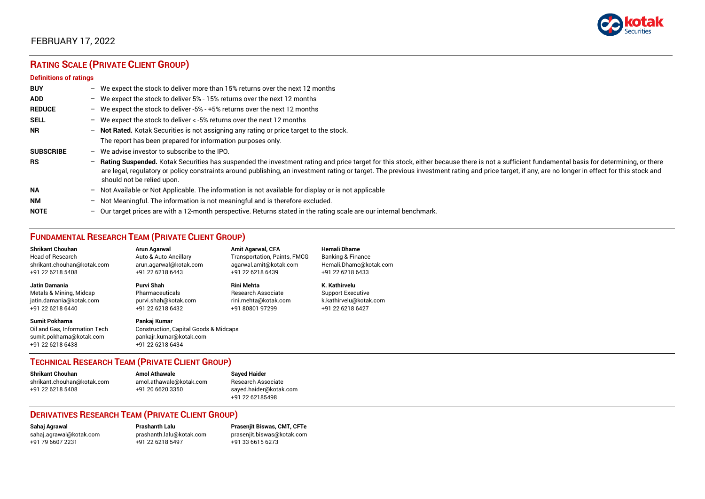

# **RATING SCALE (PRIVATE CLIENT GROUP)**

#### **Definitions of ratings**

| <b>BUY</b>       |   | - We expect the stock to deliver more than 15% returns over the next 12 months                                                                                                                                                                                                                                                                                                                                                     |
|------------------|---|------------------------------------------------------------------------------------------------------------------------------------------------------------------------------------------------------------------------------------------------------------------------------------------------------------------------------------------------------------------------------------------------------------------------------------|
| <b>ADD</b>       |   | - We expect the stock to deliver 5% - 15% returns over the next 12 months                                                                                                                                                                                                                                                                                                                                                          |
| <b>REDUCE</b>    |   | - We expect the stock to deliver -5% - +5% returns over the next 12 months                                                                                                                                                                                                                                                                                                                                                         |
| <b>SELL</b>      |   | - We expect the stock to deliver $\lt$ -5% returns over the next 12 months                                                                                                                                                                                                                                                                                                                                                         |
| <b>NR</b>        |   | - Not Rated. Kotak Securities is not assigning any rating or price target to the stock.                                                                                                                                                                                                                                                                                                                                            |
|                  |   | The report has been prepared for information purposes only.                                                                                                                                                                                                                                                                                                                                                                        |
| <b>SUBSCRIBE</b> |   | $-$ We advise investor to subscribe to the IPO.                                                                                                                                                                                                                                                                                                                                                                                    |
| <b>RS</b>        |   | - Rating Suspended. Kotak Securities has suspended the investment rating and price target for this stock, either because there is not a sufficient fundamental basis for determining, or there<br>are legal, regulatory or policy constraints around publishing, an investment rating or target. The previous investment rating and price target, if any, are no longer in effect for this stock and<br>should not be relied upon. |
| <b>NA</b>        |   | $-$ Not Available or Not Applicable. The information is not available for display or is not applicable                                                                                                                                                                                                                                                                                                                             |
| <b>NM</b>        |   | - Not Meaningful. The information is not meaningful and is therefore excluded.                                                                                                                                                                                                                                                                                                                                                     |
| <b>NOTE</b>      | - | Our target prices are with a 12-month perspective. Returns stated in the rating scale are our internal benchmark.                                                                                                                                                                                                                                                                                                                  |

# **FUNDAMENTAL RESEARCH TEAM (PRIVATE CLIENT GROUP)**

| <b>Shrikant Chouhan</b>                                                                                | <b>Arun Agarwal</b>                                                                                             | <b>Amit Agarwal, CFA</b>            | <b>Hemali Dhame</b>      |
|--------------------------------------------------------------------------------------------------------|-----------------------------------------------------------------------------------------------------------------|-------------------------------------|--------------------------|
| <b>Head of Research</b>                                                                                | Auto & Auto Ancillary                                                                                           | <b>Transportation, Paints, FMCG</b> | Banking & Finance        |
| shrikant.chouhan@kotak.com                                                                             | arun agarwal@kotak.com                                                                                          | agarwal.amit@kotak.com              | Hemali.Dhame@kotak.com   |
| +91 22 6218 5408                                                                                       | +91 22 6218 6443                                                                                                | +91 22 6218 6439                    | +91 22 6218 6433         |
| <b>Jatin Damania</b>                                                                                   | Purvi Shah                                                                                                      | <b>Rini Mehta</b>                   | K. Kathirvelu            |
| Metals & Mining, Midcap                                                                                | Pharmaceuticals                                                                                                 | <b>Research Associate</b>           | <b>Support Executive</b> |
| jatin.damania@kotak.com                                                                                | purvi.shah@kotak.com                                                                                            | rini.mehta@kotak.com                | k.kathirvelu@kotak.com   |
| +91 22 6218 6440                                                                                       | +91 22 6218 6432                                                                                                | +91 80801 97299                     | +91 22 6218 6427         |
| <b>Sumit Pokharna</b><br>Oil and Gas, Information Tech<br>sumit.pokharna@kotak.com<br>+91 22 6218 6438 | Pankaj Kumar<br><b>Construction, Capital Goods &amp; Midcaps</b><br>pankajr.kumar@kotak.com<br>+91 22 6218 6434 |                                     |                          |

#### **TECHNICAL RESEARCH TEAM (PRIVATE CLIENT GROUP)**

| <b>Shrikant Chouhan</b>    | <b>Amol Athawale</b>    |  |
|----------------------------|-------------------------|--|
| shrikant.chouhan@kotak.com | amol.athawale@kotak.com |  |
| +91 22 6218 5408           | +91 20 6620 3350        |  |
|                            |                         |  |

**Sayed Haider** Research Associate [sayed.haider@kotak.com](mailto:sayed.haider@kotak.com) +91 22 62185498

#### **DERIVATIVES RESEARCH TEAM (PRIVATE CLIENT GROUP)**

+91 22 6218 5497 +91 33 6615 6273

**Sahaj Agrawal Prashanth Lalu Prasenjit Biswas, CMT, CFTe** [sahaj.agrawal@kotak.com](mailto:sahaj.agrawal@kotak.com) [prashanth.lalu@kotak.com](mailto:prashanth.lalu@kotak.com) [prasenjit.biswas@kotak.com](mailto:prasenjit.biswas@kotak.com)